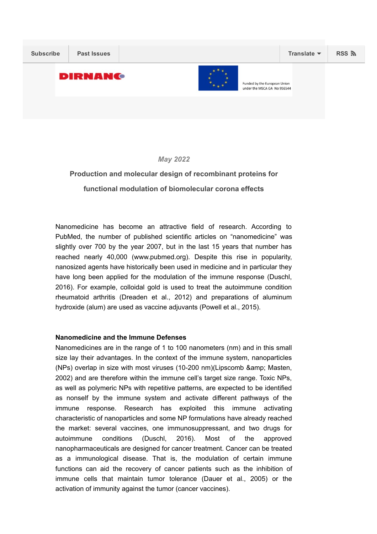

*May 2022*

# Production and molecular design of recombinant proteins for functional modulation of biomolecular corona effects

Nanomedicine has become an attractive field of research. According to PubMed, the number of published scientific articles on "nanomedicine" was slightly over 700 by the year 2007, but in the last 15 years that number has reached nearly 40,000 (www.pubmed.org). Despite this rise in popularity, nanosized agents have historically been used in medicine and in particular they have long been applied for the modulation of the immune response (Duschl, 2016). For example, colloidal gold is used to treat the autoimmune condition rheumatoid arthritis (Dreaden et al., 2012) and preparations of aluminum hydroxide (alum) are used as vaccine adjuvants (Powell et al., 2015).

## Nanomedicine and the Immune Defenses

Nanomedicines are in the range of 1 to 100 nanometers (nm) and in this small size lay their advantages. In the context of the immune system, nanoparticles (NPs) overlap in size with most viruses  $(10-200 \text{ nm})$ (Lipscomb & amp; Masten, 2002) and are therefore within the immune cell's target size range. Toxic NPs, as well as polymeric NPs with repetitive patterns, are expected to be identified as nonself by the immune system and activate different pathways of the immune response. Research has exploited this immune activating characteristic of nanoparticles and some NP formulations have already reached the market: several vaccines, one immunosuppressant, and two drugs for autoimmune conditions (Duschl, 2016). Most of the approved nanopharmaceuticals are designed for cancer treatment. Cancer can be treated as a immunological disease. That is, the modulation of certain immune functions can aid the recovery of cancer patients such as the inhibition of immune cells that maintain tumor tolerance (Dauer et al., 2005) or the activation of immunity against the tumor (cancer vaccines).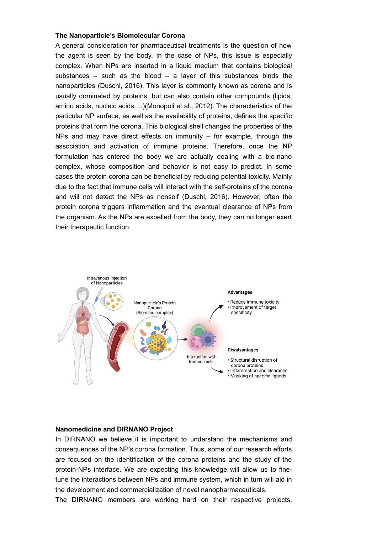#### The Nanoparticle's Biomolecular Corona

A general consideration for pharmaceutical treatments is the question of how the agent is seen by the body. In the case of NPs, this issue is especially complex. When NPs are inserted in a liquid medium that contains biological substances – such as the blood – a layer of this substances binds the nanoparticles (Duschl, 2016). This layer is commonly known as corona and is usually dominated by proteins, but can also contain other compounds (lipids, amino acids, nucleic acids,…)(Monopoli et al., 2012). The characteristics of the particular NP surface, as well as the availability of proteins, defines the specific proteins that form the corona. This biological shell changes the properties of the NPs and may have direct effects on immunity  $-$  for example, through the association and activation of immune proteins. Therefore, once the NP formulation has entered the body we are actually dealing with a bio-nano complex, whose composition and behavior is not easy to predict. In some cases the protein corona can be beneficial by reducing potential toxicity. Mainly due to the fact that immune cells will interact with the self-proteins of the corona and will not detect the NPs as nonself (Duschl, 2016). However, often the protein corona triggers inflammation and the eventual clearance of NPs from the organism. As the NPs are expelled from the body, they can no longer exert their therapeutic function.



### Nanomedicine and DIRNANO Project

In DIRNANO we believe it is important to understand the mechanisms and consequences of the NP's corona formation. Thus, some of our research efforts are focused on the identification of the corona proteins and the study of the protein-NPs interface. We are expecting this knowledge will allow us to finetune the interactions between NPs and immune system, which in turn will aid in the development and commercialization of novel nanopharmaceuticals.

The DIRNANO members are working hard on their respective projects.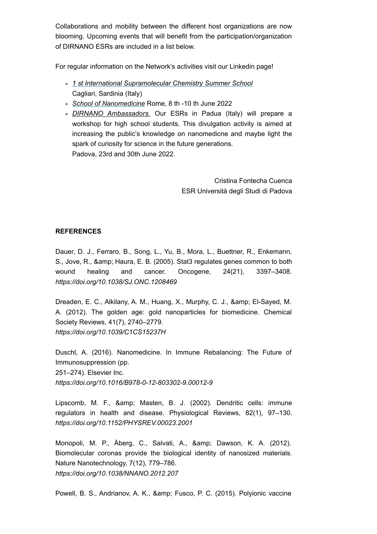Collaborations and mobility between the different host organizations are now blooming. Upcoming events that will benefit from the participation/organization of DIRNANO ESRs are included in a list below.

For regular information on the Network's activities visit our Linkedin page!

- *1 st International [Supramolecular](https://convegni.unica.it/iscsummerschool2022/) Chemistry Summer School* Cagliari, Sardinia (Italy)
- *School of [Nanomedicine](https://www.ba.ic.cnr.it/nanomedicine2022/)* Rome, 8 th 10 th June 2022
- *DIRNANO Ambassadors.* Our ESRs in Padua (Italy) will prepare a workshop for high school students. This divulgation activity is aimed at increasing the public's knowledge on nanomedicne and maybe light the spark of curiosity for science in the future generations. Padova, 23rd and 30th June 2022.

Cristina Fontecha Cuenca ESR Università degli Studi di Padova

## REFERENCES

Dauer, D. J., Ferraro, B., Song, L., Yu, B., Mora, L., Buettner, R., Enkemann, S., Jove, R., & amp; Haura, E. B. (2005). Stat3 regulates genes common to both wound healing and cancer. Oncogene, 24(21), 3397–3408. *https://doi.org/10.1038/SJ.ONC.1208469*

Dreaden, E. C., Alkilany, A. M., Huang, X., Murphy, C. J., & amp; El-Sayed, M. A. (2012). The golden age: gold nanoparticles for biomedicine. Chemical Society Reviews, 41(7), 2740–2779.

*https://doi.org/10.1039/C1CS15237H*

Duschl, A. (2016). Nanomedicine. In Immune Rebalancing: The Future of Immunosuppression (pp.

251–274). Elsevier Inc.

https://doi.org/10.1016/B978-0-12-803302-9.00012-9

Lipscomb, M. F., & amp; Masten, B. J. (2002). Dendritic cells: immune regulators in health and disease. Physiological Reviews, 82(1), 97–130. *https://doi.org/10.1152/PHYSREV.00023.2001*

Monopoli, M. P., Åberg, C., Salvati, A., & amp; Dawson, K. A. (2012). Biomolecular coronas provide the biological identity of nanosized materials. Nature Nanotechnology, 7(12), 779–786. *https://doi.org/10.1038/NNANO.2012.207*

Powell, B. S., Andrianov, A. K., & amp; Fusco, P. C. (2015). Polyionic vaccine